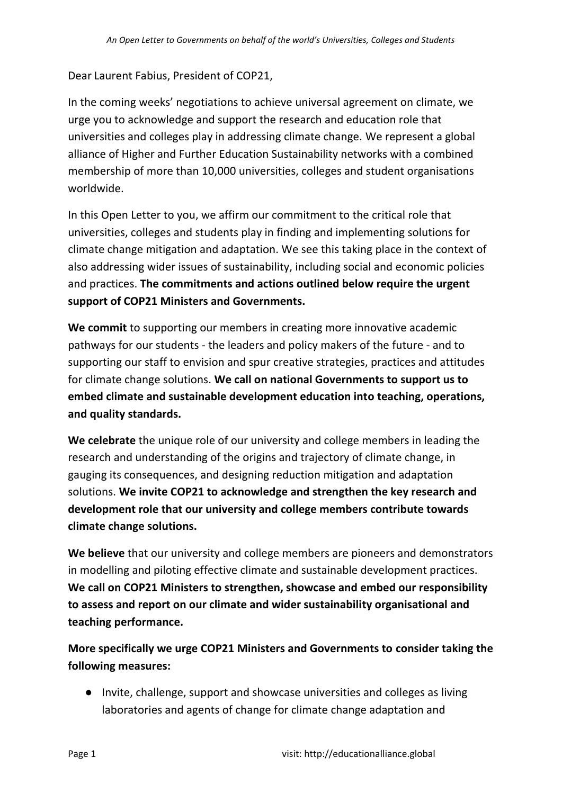Dear Laurent Fabius, President of COP21,

In the coming weeks' negotiations to achieve universal agreement on climate, we urge you to acknowledge and support the research and education role that universities and colleges play in addressing climate change. We represent a global alliance of Higher and Further Education Sustainability networks with a combined membership of more than 10,000 universities, colleges and student organisations worldwide.

In this Open Letter to you, we affirm our commitment to the critical role that universities, colleges and students play in finding and implementing solutions for climate change mitigation and adaptation. We see this taking place in the context of also addressing wider issues of sustainability, including social and economic policies and practices. **The commitments and actions outlined below require the urgent support of COP21 Ministers and Governments.**

**We commit** to supporting our members in creating more innovative academic pathways for our students - the leaders and policy makers of the future - and to supporting our staff to envision and spur creative strategies, practices and attitudes for climate change solutions. **We call on national Governments to support us to embed climate and sustainable development education into teaching, operations, and quality standards.**

**We celebrate** the unique role of our university and college members in leading the research and understanding of the origins and trajectory of climate change, in gauging its consequences, and designing reduction mitigation and adaptation solutions. **We invite COP21 to acknowledge and strengthen the key research and development role that our university and college members contribute towards climate change solutions.**

**We believe** that our university and college members are pioneers and demonstrators in modelling and piloting effective climate and sustainable development practices. **We call on COP21 Ministers to strengthen, showcase and embed our responsibility to assess and report on our climate and wider sustainability organisational and teaching performance.**

**More specifically we urge COP21 Ministers and Governments to consider taking the following measures:**

● Invite, challenge, support and showcase universities and colleges as living laboratories and agents of change for climate change adaptation and